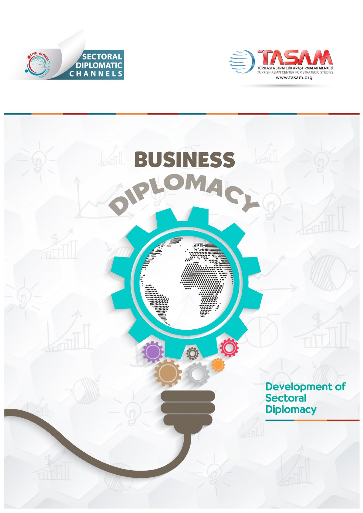



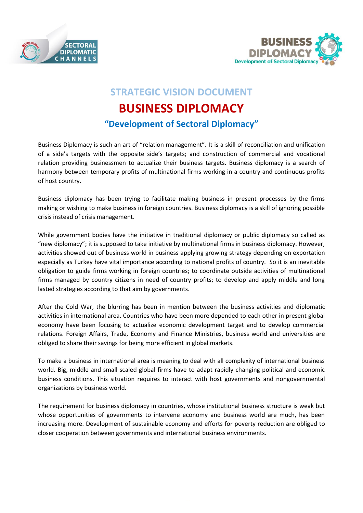



## **STRATEGIC VISION DOCUMENT**

# **BUSINESS DIPLOMACY**

## **"Development of Sectoral Diplomacy"**

Business Diplomacy is such an art of "relation management". It is a skill of reconciliation and unification of a side's targets with the opposite side's targets; and construction of commercial and vocational relation providing businessmen to actualize their business targets. Business diplomacy is a search of harmony between temporary profits of multinational firms working in a country and continuous profits of host country.

Business diplomacy has been trying to facilitate making business in present processes by the firms making or wishing to make business in foreign countries. Business diplomacy is a skill of ignoring possible crisis instead of crisis management.

While government bodies have the initiative in traditional diplomacy or public diplomacy so called as "new diplomacy"; it is supposed to take initiative by multinational firms in business diplomacy. However, activities showed out of business world in business applying growing strategy depending on exportation especially as Turkey have vital importance according to national profits of country. So it is an inevitable obligation to guide firms working in foreign countries; to coordinate outside activities of multinational firms managed by country citizens in need of country profits; to develop and apply middle and long lasted strategies according to that aim by governments.

After the Cold War, the blurring has been in mention between the business activities and diplomatic activities in international area. Countries who have been more depended to each other in present global economy have been focusing to actualize economic development target and to develop commercial relations. Foreign Affairs, Trade, Economy and Finance Ministries, business world and universities are obliged to share their savings for being more efficient in global markets.

To make a business in international area is meaning to deal with all complexity of international business world. Big, middle and small scaled global firms have to adapt rapidly changing political and economic business conditions. This situation requires to interact with host governments and nongovernmental organizations by business world.

The requirement for business diplomacy in countries, whose institutional business structure is weak but whose opportunities of governments to intervene economy and business world are much, has been increasing more. Development of sustainable economy and efforts for poverty reduction are obliged to closer cooperation between governments and international business environments.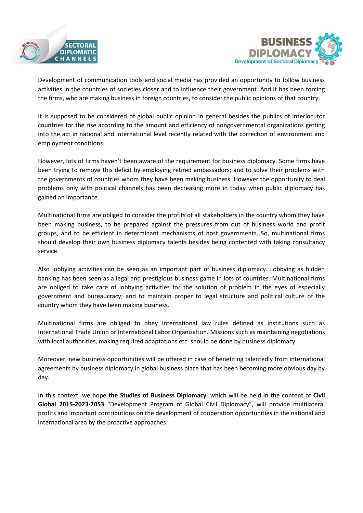



Development of communication tools and social media has provided an opportunity to follow business activities in the countries of societies closer and to influence their government. And it has been forcing the firms, who are making business in foreign countries, to consider the public opinions of that country.

It is supposed to be considered of global public opinion in general besides the publics of interlocutor countries for the rise according to the amount and efficiency of nongovernmental organizations getting into the act in national and international level recently related with the correction of environment and employment conditions.

However, lots of firms haven't been aware of the requirement for business diplomacy. Some firms have been trying to remove this deficit by employing retired ambassadors; and to solve their problems with the governments of countries whom they have been making business. However the opportunity to deal problems only with political channels has been decreasing more in today when public diplomacy has gained an importance.

Multinational firms are obliged to consider the profits of all stakeholders in the country whom they have been making business, to be prepared against the pressures from out of business world and profit groups, and to be efficient in determinant mechanisms of host governments. So, multinational firms should develop their own business diplomacy talents besides being contented with taking consultancy service.

Also lobbying activities can be seen as an important part of business diplomacy. Lobbying as hidden banking has been seen as a legal and prestigious business game in lots of countries. Multinational firms are obliged to take care of lobbying activities for the solution of problem in the eyes of especially government and bureaucracy; and to maintain proper to legal structure and political culture of the country whom they have been making business.

Multinational firms are obliged to obey international law rules defined as institutions such as International Trade Union or International Labor Organization. Missions such as maintaining negotiations with local authorities, making required adaptations etc. should be done by business diplomacy.

Moreover, new business opportunities will be offered in case of benefiting talentedly from international agreements by business diplomacy in global business place that has been becoming more obvious day by day.

In this context, we hope **the Studies of Business Diplomacy**, which will be held in the content of **Civil Global 2015-2023-2053** "Development Program of Global Civil Diplomacy", will provide multilateral profits and important contributions on the development of cooperation opportunities in the national and international area by the proactive approaches.